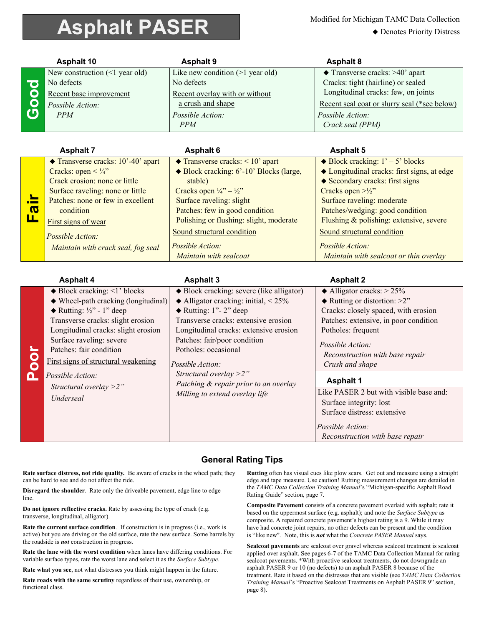## **Asphalt PASER** Modified for Michigan TAMC Data Collection

◆ Denotes Priority Distress

|                   | <b>Asphalt 10</b>                                                                                                                                                                                                                                                                                                                                                                   | <b>Asphalt 9</b>                                                                                                                                                                                                                                                                                                                                                                                          | <b>Asphalt 8</b>                                                                                                                                                                                                                                                                                                                                                                            |
|-------------------|-------------------------------------------------------------------------------------------------------------------------------------------------------------------------------------------------------------------------------------------------------------------------------------------------------------------------------------------------------------------------------------|-----------------------------------------------------------------------------------------------------------------------------------------------------------------------------------------------------------------------------------------------------------------------------------------------------------------------------------------------------------------------------------------------------------|---------------------------------------------------------------------------------------------------------------------------------------------------------------------------------------------------------------------------------------------------------------------------------------------------------------------------------------------------------------------------------------------|
| Good              | New construction $(\leq 1$ year old)<br>No defects<br>Recent base improvement<br>Possible Action:<br>PPM                                                                                                                                                                                                                                                                            | Like new condition $(>1$ year old)<br>No defects<br>Recent overlay with or without<br>a crush and shape<br>Possible Action:<br><b>PPM</b>                                                                                                                                                                                                                                                                 | Transverse cracks: >40' apart<br>Cracks: tight (hairline) or sealed<br>Longitudinal cracks: few, on joints<br>Recent seal coat or slurry seal (*see below)<br>Possible Action:<br>Crack seal (PPM)                                                                                                                                                                                          |
|                   | <b>Asphalt 7</b>                                                                                                                                                                                                                                                                                                                                                                    | <b>Asphalt 6</b>                                                                                                                                                                                                                                                                                                                                                                                          | <b>Asphalt 5</b>                                                                                                                                                                                                                                                                                                                                                                            |
| <mark>Fair</mark> | ◆ Transverse cracks: 10'-40' apart<br>Cracks: open $\lt$ 1/4"<br>Crack erosion: none or little<br>Surface raveling: none or little<br>Patches: none or few in excellent<br>condition<br>First signs of wear<br>Possible Action:<br>Maintain with crack seal, fog seal                                                                                                               | $\triangle$ Transverse cracks: < 10' apart<br>◆ Block cracking: 6'-10' Blocks (large,<br>stable)<br>Cracks open $\frac{1}{4}$ " – $\frac{1}{2}$ "<br>Surface raveling: slight<br>Patches: few in good condition<br>Polishing or flushing: slight, moderate<br>Sound structural condition<br>Possible Action:<br>Maintain with sealcoat                                                                    | $\triangle$ Block cracking: $1' - 5'$ blocks<br>◆ Longitudinal cracks: first signs, at edge<br>◆ Secondary cracks: first signs<br>Cracks open $>1/2$ "<br>Surface raveling: moderate<br>Patches/wedging: good condition<br>Flushing & polishing: extensive, severe<br>Sound structural condition<br>Possible Action:<br>Maintain with sealcoat or thin overlay                              |
|                   | <b>Asphalt 4</b>                                                                                                                                                                                                                                                                                                                                                                    | <b>Asphalt 3</b>                                                                                                                                                                                                                                                                                                                                                                                          | <b>Asphalt 2</b>                                                                                                                                                                                                                                                                                                                                                                            |
| <b>Poor</b>       | $\blacklozenge$ Block cracking: <1' blocks<br>$\blacklozenge$ Wheel-path cracking (longitudinal)<br>$\blacklozenge$ Rutting: 1/2" - 1" deep<br>Transverse cracks: slight erosion<br>Longitudinal cracks: slight erosion<br>Surface raveling: severe<br>Patches: fair condition<br>First signs of structural weakening<br>Possible Action:<br>Structural overlay $>2$ "<br>Underseal | ◆ Block cracking: severe (like alligator)<br>$\triangle$ Alligator cracking: initial, < 25%<br>$\blacklozenge$ Rutting: 1"- 2" deep<br>Transverse cracks: extensive erosion<br>Longitudinal cracks: extensive erosion<br>Patches: fair/poor condition<br>Potholes: occasional<br>Possible Action:<br>Structural overlay $>2$ "<br>Patching & repair prior to an overlay<br>Milling to extend overlay life | $\triangle$ Alligator cracks: > 25%<br>$\blacklozenge$ Rutting or distortion: >2"<br>Cracks: closely spaced, with erosion<br>Patches: extensive, in poor condition<br>Potholes: frequent<br>Possible Action:<br>Reconstruction with base repair<br>Crush and shape<br><b>Asphalt 1</b><br>Like PASER 2 but with visible base and:<br>Surface integrity: lost<br>Surface distress: extensive |

## **General Rating Tips**

**Rate surface distress, not ride quality.** Be aware of cracks in the wheel path; they can be hard to see and do not affect the ride.

**Disregard the shoulder**. Rate only the driveable pavement, edge line to edge line.

**Do not ignore reflective cracks.** Rate by assessing the type of crack (e.g. transverse, longitudinal, alligator).

**Rate the current surface condition**. If construction is in progress (i.e., work is active) but you are driving on the old surface, rate the new surface. Some barrels by the roadside is *not* construction in progress.

**Rate the lane with the worst condition** when lanes have differing conditions. For variable surface types, rate the worst lane and select it as the *Surface Subtype*.

**Rate what you see**, not what distresses you think might happen in the future.

**Rate roads with the same scrutiny** regardless of their use, ownership, or functional class.

**Rutting** often has visual cues like plow scars. Get out and measure using a straight edge and tape measure. Use caution! Rutting measurement changes are detailed in the *TAMC Data Collection Training Manual*'s "Michigan-specific Asphalt Road Rating Guide" section, page 7.

 *Reconstruction with base repair*

*Possible Action:* 

**Composite Pavement** consists of a concrete pavement overlaid with asphalt; rate it based on the uppermost surface (e.g. asphalt); and note the *Surface Subtype* as composite. A repaired concrete pavement's highest rating is a 9. While it may have had concrete joint repairs, no other defects can be present and the condition is "like new". Note, this is *not* what the *Concrete PASER Manual* says.

**Sealcoat pavements** are sealcoat over gravel whereas sealcoat treatment is sealcoat applied over asphalt. See pages 6-7 of the TAMC Data Collection Manual for rating sealcoat pavements. \*With proactive sealcoat treatments, do not downgrade an asphalt PASER 9 or 10 (no defects) to an asphalt PASER 8 because of the treatment. Rate it based on the distresses that are visible (see *TAMC Data Collection Training Manual*'s "Proactive Sealcoat Treatments on Asphalt PASER 9" section, page 8).